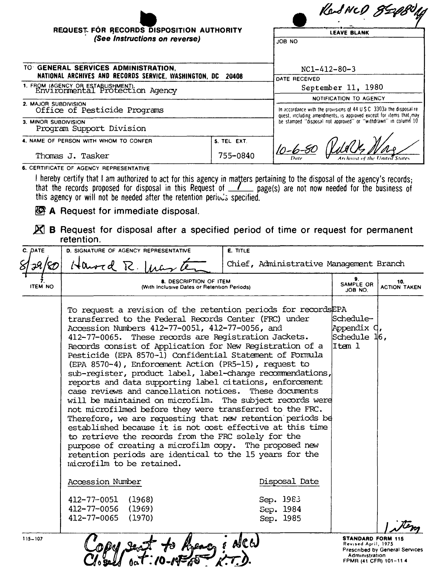|                                                                                                       |                                                                | RadNCD 85                                                                                                                                                                                    |  |  |
|-------------------------------------------------------------------------------------------------------|----------------------------------------------------------------|----------------------------------------------------------------------------------------------------------------------------------------------------------------------------------------------|--|--|
| REQUEST FOR RECORDS DISPOSITION AUTHORITY<br>(See Instructions on reverse)                            |                                                                | <b>LEAVE BLANK</b>                                                                                                                                                                           |  |  |
|                                                                                                       |                                                                | ON 8OL                                                                                                                                                                                       |  |  |
| TO GENERAL SERVICES ADMINISTRATION,<br>NATIONAL ARCHIVES AND RECORDS SERVICE, WASHINGTON, DC<br>20408 |                                                                | $NC1 - 412 - 80 - 3$                                                                                                                                                                         |  |  |
| 1. FROM (AGENCY OR ESTABLISHMENT).<br>Environmental Protection Agency                                 |                                                                | DATE RECEIVED                                                                                                                                                                                |  |  |
|                                                                                                       |                                                                | September 11, 1980<br>NOTIFICATION TO AGENCY<br>In accordance with the provisions of 44 U.S.C. 3303a the disposal re-<br>quest, including amendments, is approved except for items that, may |  |  |
| 2. MAJOR SUBDIVISION                                                                                  |                                                                |                                                                                                                                                                                              |  |  |
| Office of Pesticide Programs                                                                          |                                                                |                                                                                                                                                                                              |  |  |
| 3. MINOR SUBDIVISION<br>Program Support Division                                                      | be stamped "disposal not approved" or "withdrawn" in column 10 |                                                                                                                                                                                              |  |  |
| 4. NAME OF PERSON WITH WHOM TO CONFER                                                                 | S. TEL EXT.                                                    |                                                                                                                                                                                              |  |  |
| Thomas J. Tasker                                                                                      | 755-0840                                                       | <b>Archivist of the United State</b>                                                                                                                                                         |  |  |

6. CERTIFICATE OF AGENCY REPRESENTATIVE

I hereby certify that I am authorized to act for this agency in matters pertaining to the disposal of the agency's records;<br>that the records proposed for disposal in this Request of  $\angle$  page(s) are not now needed for the

A Request for immediate disposal.

 $\boxtimes$  B Request for disposal after a specified period of time or request for permanent retention.

| C. DATE        | D. SIGNATURE OF AGENCY REPRESENTATIVE                                                                                                                                                                                                                                                                                                                                                                                                                                                                                                                                                                                                                                                                                                                                                                                                                                                                                                                                                                                                                                                                                                                                          | E. TITLE                                |                                                                                            |                                                              |
|----------------|--------------------------------------------------------------------------------------------------------------------------------------------------------------------------------------------------------------------------------------------------------------------------------------------------------------------------------------------------------------------------------------------------------------------------------------------------------------------------------------------------------------------------------------------------------------------------------------------------------------------------------------------------------------------------------------------------------------------------------------------------------------------------------------------------------------------------------------------------------------------------------------------------------------------------------------------------------------------------------------------------------------------------------------------------------------------------------------------------------------------------------------------------------------------------------|-----------------------------------------|--------------------------------------------------------------------------------------------|--------------------------------------------------------------|
|                | $140$ wrd R. $11$                                                                                                                                                                                                                                                                                                                                                                                                                                                                                                                                                                                                                                                                                                                                                                                                                                                                                                                                                                                                                                                                                                                                                              | Chief, Administrative Management Branch |                                                                                            |                                                              |
| <b>ITEM NO</b> | <b>8. DESCRIPTION OF ITEM</b><br>(With Inclusive Dates or Retention Periods)<br>To request a revision of the retention periods for records EPA<br> Schedule--<br>transferred to the Federal Records Center (FRC) under<br>Accession Numbers 412-77-0051, 412-77-0056, and<br>412-77-0065. These records are Registration Jackets.<br>Records consist of Application for New Registration of a<br>litem 1<br>Pesticide (EPA 8570-1) Confidential Statement of Formula<br>(EPA 8570-4), Enforcement Action (PR5-15), request to<br>sub-register, product label, label-change recommendations,<br>reports and data supporting label citations, enforcement<br>case reviews and cancellation notices. These documents<br>will be maintained on microfilm. The subject records were<br>not microfilmed before they were transferred to the FRC.<br>Therefore, we are requesting that new retention periods be<br>established because it is not cost effective at this time<br>to retrieve the records from the FRC solely for the<br>purpose of creating a microfilm copy. The proposed new<br>retention periods are identical to the 15 years for the<br>microfilm to be retained. |                                         |                                                                                            | 10.<br><b>ACTION TAKEN</b><br>Appendix C,<br>$S$ chedule 16, |
|                |                                                                                                                                                                                                                                                                                                                                                                                                                                                                                                                                                                                                                                                                                                                                                                                                                                                                                                                                                                                                                                                                                                                                                                                |                                         |                                                                                            |                                                              |
|                | Accession Number                                                                                                                                                                                                                                                                                                                                                                                                                                                                                                                                                                                                                                                                                                                                                                                                                                                                                                                                                                                                                                                                                                                                                               | Disposal Date                           |                                                                                            |                                                              |
|                | 412-77-0051 (1968)<br>412-77-0056 (1969)<br>412-77-0065<br>(1970)                                                                                                                                                                                                                                                                                                                                                                                                                                                                                                                                                                                                                                                                                                                                                                                                                                                                                                                                                                                                                                                                                                              | Sep. 1983<br>Sep. 1984<br>Sep. 1985     |                                                                                            |                                                              |
| $115 - 107$    |                                                                                                                                                                                                                                                                                                                                                                                                                                                                                                                                                                                                                                                                                                                                                                                                                                                                                                                                                                                                                                                                                                                                                                                |                                         | <b>STANDARD FORM 115</b><br>Revised April, 1975<br>Administration<br>FPMR (41 CFR) 101-114 | Prescribed by General Services                               |